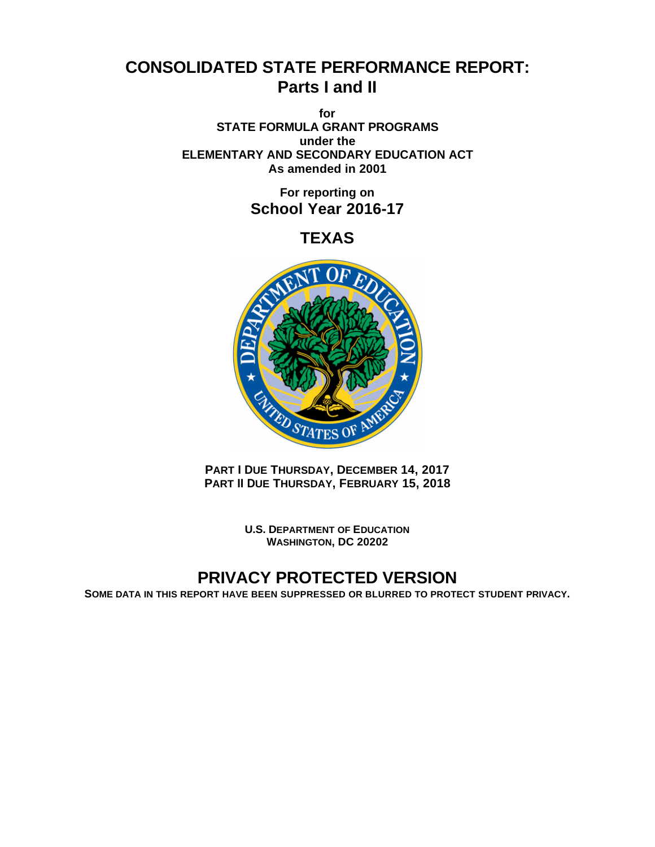# **CONSOLIDATED STATE PERFORMANCE REPORT: Parts I and II**

**for STATE FORMULA GRANT PROGRAMS under the ELEMENTARY AND SECONDARY EDUCATION ACT As amended in 2001**

> **For reporting on School Year 2016-17**

> > **TEXAS**



**PART I DUE THURSDAY, DECEMBER 14, 2017 PART II DUE THURSDAY, FEBRUARY 15, 2018** 

> **U.S. DEPARTMENT OF EDUCATION WASHINGTON, DC 20202**

# **PRIVACY PROTECTED VERSION**

**SOME DATA IN THIS REPORT HAVE BEEN SUPPRESSED OR BLURRED TO PROTECT STUDENT PRIVACY.**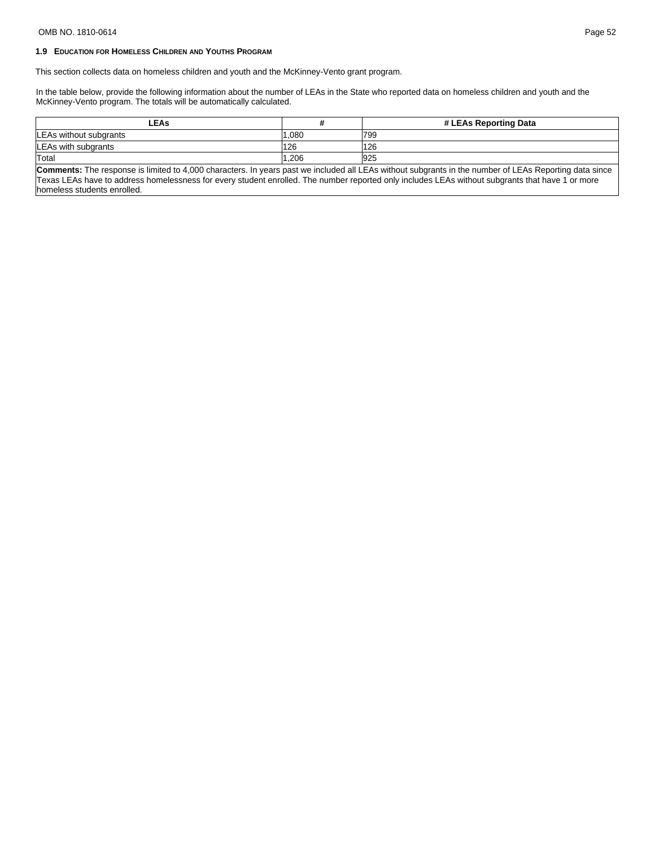# OMB NO. 1810-0614 Page 52

# **1.9 EDUCATION FOR HOMELESS CHILDREN AND YOUTHS PROGRAM**

This section collects data on homeless children and youth and the McKinney-Vento grant program.

In the table below, provide the following information about the number of LEAs in the State who reported data on homeless children and youth and the McKinney-Vento program. The totals will be automatically calculated.

| ∟EAs                           |      | # LEAs Reporting Data |
|--------------------------------|------|-----------------------|
| <b>ILEAs without subgrants</b> | .080 | 1799                  |
| LEAs with subgrants            | 126  | 126                   |
| <b>Total</b>                   | .206 | 925                   |

**Comments:** The response is limited to 4,000 characters. In years past we included all LEAs without subgrants in the number of LEAs Reporting data since Texas LEAs have to address homelessness for every student enrolled. The number reported only includes LEAs without subgrants that have 1 or more homeless students enrolled.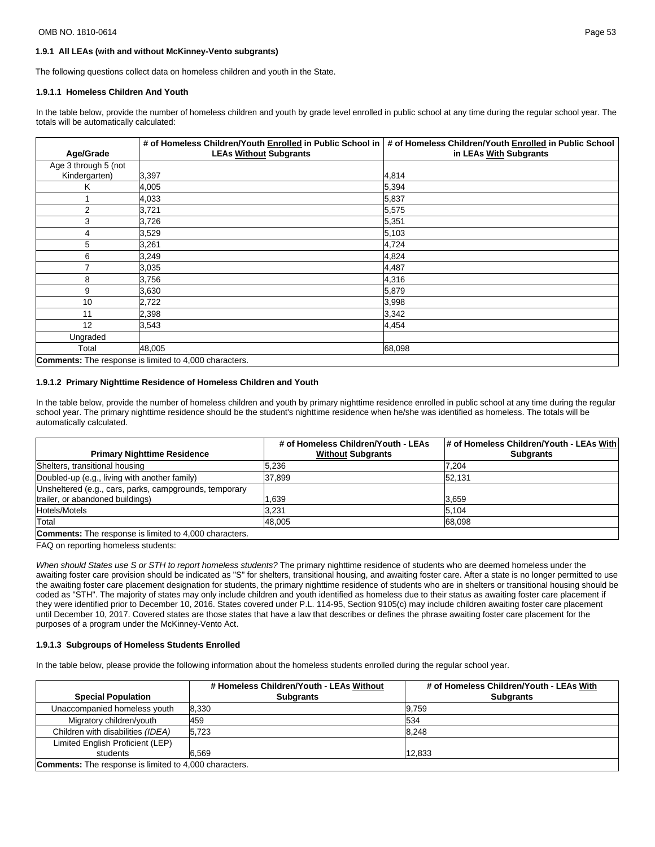#### OMB NO. 1810-0614 Page 53

## **1.9.1 All LEAs (with and without McKinney-Vento subgrants)**

The following questions collect data on homeless children and youth in the State.

#### **1.9.1.1 Homeless Children And Youth**

In the table below, provide the number of homeless children and youth by grade level enrolled in public school at any time during the regular school year. The totals will be automatically calculated:

|                      | # of Homeless Children/Youth Enrolled in Public School in     | # of Homeless Children/Youth Enrolled in Public School |
|----------------------|---------------------------------------------------------------|--------------------------------------------------------|
| Age/Grade            | <b>LEAs Without Subgrants</b>                                 | in LEAs With Subgrants                                 |
| Age 3 through 5 (not |                                                               |                                                        |
| Kindergarten)        | 3,397                                                         | 4,814                                                  |
| Κ                    | 4,005                                                         | 5,394                                                  |
| 1                    | 4,033                                                         | 5,837                                                  |
| 2                    | 3,721                                                         | 5,575                                                  |
| 3                    | 3,726                                                         | 5,351                                                  |
| 4                    | 3,529                                                         | 5,103                                                  |
| 5                    | 3,261                                                         | 4,724                                                  |
| 6                    | 3,249                                                         | 4,824                                                  |
| 7                    | 3,035                                                         | 4,487                                                  |
| 8                    | 3,756                                                         | 4,316                                                  |
| 9                    | 3,630                                                         | 5,879                                                  |
| 10                   | 2,722                                                         | 3,998                                                  |
| 11                   | 2,398                                                         | 3,342                                                  |
| 12                   | 3,543                                                         | 4,454                                                  |
| Ungraded             |                                                               |                                                        |
| Total                | 48,005                                                        | 68,098                                                 |
|                      | <b>Comments:</b> The response is limited to 4,000 characters. |                                                        |

#### **1.9.1.2 Primary Nighttime Residence of Homeless Children and Youth**

In the table below, provide the number of homeless children and youth by primary nighttime residence enrolled in public school at any time during the regular school year. The primary nighttime residence should be the student's nighttime residence when he/she was identified as homeless. The totals will be automatically calculated.

|                                                               | # of Homeless Children/Youth - LEAs | # of Homeless Children/Youth - LEAs With |
|---------------------------------------------------------------|-------------------------------------|------------------------------------------|
| <b>Primary Nighttime Residence</b>                            | <b>Without Subgrants</b>            | <b>Subgrants</b>                         |
| Shelters, transitional housing                                | 5.236                               | 7.204                                    |
| Doubled-up (e.g., living with another family)                 | 37,899                              | 52.131                                   |
| Unsheltered (e.g., cars, parks, campgrounds, temporary        |                                     |                                          |
| trailer, or abandoned buildings)                              | 1.639                               | 3.659                                    |
| Hotels/Motels                                                 | 3.231                               | 5.104                                    |
| Total                                                         | 48.005                              | 68,098                                   |
| <b>Comments:</b> The response is limited to 4,000 characters. |                                     |                                          |

FAQ on reporting homeless students:

When should States use S or STH to report homeless students? The primary nighttime residence of students who are deemed homeless under the awaiting foster care provision should be indicated as "S" for shelters, transitional housing, and awaiting foster care. After a state is no longer permitted to use the awaiting foster care placement designation for students, the primary nighttime residence of students who are in shelters or transitional housing should be coded as "STH". The majority of states may only include children and youth identified as homeless due to their status as awaiting foster care placement if they were identified prior to December 10, 2016. States covered under P.L. 114-95, Section 9105(c) may include children awaiting foster care placement until December 10, 2017. Covered states are those states that have a law that describes or defines the phrase awaiting foster care placement for the purposes of a program under the McKinney-Vento Act.

#### **1.9.1.3 Subgroups of Homeless Students Enrolled**

In the table below, please provide the following information about the homeless students enrolled during the regular school year.

|                                                               | # Homeless Children/Youth - LEAs Without | # of Homeless Children/Youth - LEAs With |  |  |  |
|---------------------------------------------------------------|------------------------------------------|------------------------------------------|--|--|--|
| <b>Special Population</b>                                     | <b>Subgrants</b>                         | <b>Subgrants</b>                         |  |  |  |
| Unaccompanied homeless youth                                  | 8.330                                    | 9.759                                    |  |  |  |
| Migratory children/youth                                      | 459                                      | 534                                      |  |  |  |
| Children with disabilities (IDEA)                             | 5,723                                    | 8.248                                    |  |  |  |
| Limited English Proficient (LEP)                              |                                          |                                          |  |  |  |
| students                                                      | 6.569                                    | 12,833                                   |  |  |  |
| <b>Comments:</b> The response is limited to 4,000 characters. |                                          |                                          |  |  |  |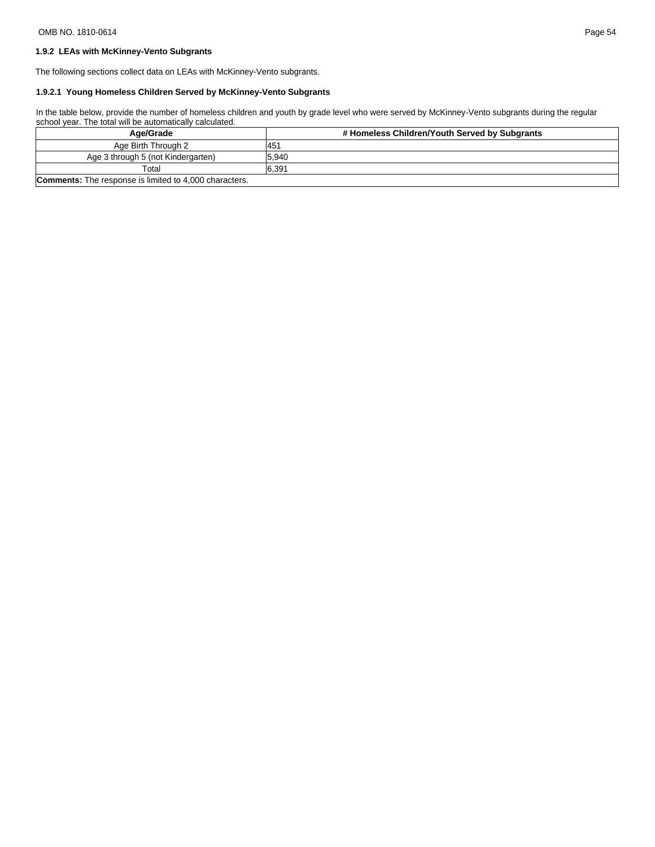# **1.9.2 LEAs with McKinney-Vento Subgrants**

The following sections collect data on LEAs with McKinney-Vento subgrants.

# **1.9.2.1 Young Homeless Children Served by McKinney-Vento Subgrants**

In the table below, provide the number of homeless children and youth by grade level who were served by McKinney-Vento subgrants during the regular school year. The total will be automatically calculated.

| Age/Grade                                                     | # Homeless Children/Youth Served by Subgrants |
|---------------------------------------------------------------|-----------------------------------------------|
| Age Birth Through 2                                           | <sup>145</sup>                                |
| Age 3 through 5 (not Kindergarten)                            | 5.940                                         |
| Total                                                         | 6.391                                         |
| <b>Comments:</b> The response is limited to 4,000 characters. |                                               |